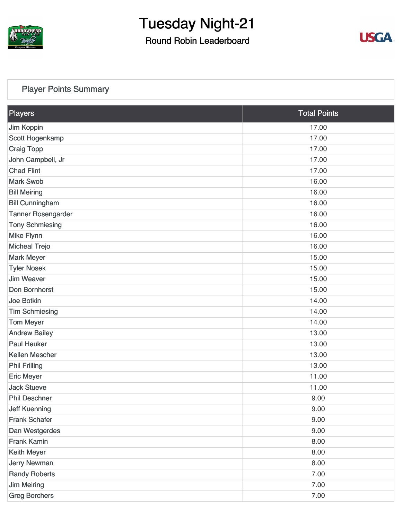

Round Robin Leaderboard



#### [Player Points Summary](https://cdn2.golfgenius.com/v2tournaments/total_points?league_id=7166783568088147134&round_id=7166787266860295656)

| Players                   | <b>Total Points</b> |
|---------------------------|---------------------|
| Jim Koppin                | 17.00               |
| Scott Hogenkamp           | 17.00               |
| <b>Craig Topp</b>         | 17.00               |
| John Campbell, Jr         | 17.00               |
| <b>Chad Flint</b>         | 17.00               |
| <b>Mark Swob</b>          | 16.00               |
| <b>Bill Meiring</b>       | 16.00               |
| <b>Bill Cunningham</b>    | 16.00               |
| <b>Tanner Rosengarder</b> | 16.00               |
| <b>Tony Schmiesing</b>    | 16.00               |
| <b>Mike Flynn</b>         | 16.00               |
| <b>Micheal Trejo</b>      | 16.00               |
| <b>Mark Meyer</b>         | 15.00               |
| <b>Tyler Nosek</b>        | 15.00               |
| <b>Jim Weaver</b>         | 15.00               |
| Don Bornhorst             | 15.00               |
| <b>Joe Botkin</b>         | 14.00               |
| <b>Tim Schmiesing</b>     | 14.00               |
| <b>Tom Meyer</b>          | 14.00               |
| <b>Andrew Bailey</b>      | 13.00               |
| <b>Paul Heuker</b>        | 13.00               |
| <b>Kellen Mescher</b>     | 13.00               |
| <b>Phil Frilling</b>      | 13.00               |
| <b>Eric Meyer</b>         | 11.00               |
| <b>Jack Stueve</b>        | 11.00               |
| <b>Phil Deschner</b>      | 9.00                |
| <b>Jeff Kuenning</b>      | 9.00                |
| <b>Frank Schafer</b>      | 9.00                |
| Dan Westgerdes            | 9.00                |
| <b>Frank Kamin</b>        | 8.00                |
| <b>Keith Meyer</b>        | 8.00                |
| <b>Jerry Newman</b>       | 8.00                |
| <b>Randy Roberts</b>      | 7.00                |
| <b>Jim Meiring</b>        | 7.00                |
| <b>Greg Borchers</b>      | 7.00                |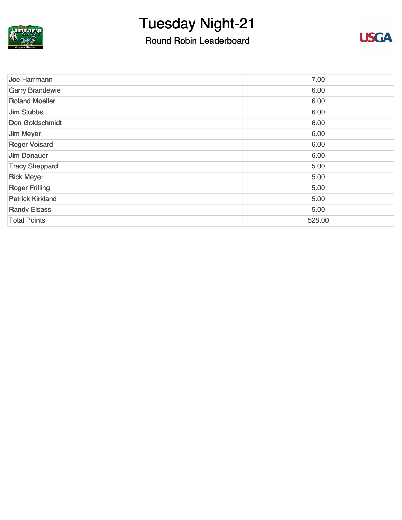

### Round Robin Leaderboard



| Joe Harrmann            | 7.00   |
|-------------------------|--------|
| <b>Garry Brandewie</b>  | 6.00   |
| <b>Roland Moeller</b>   | 6.00   |
| Jim Stubbs              | 6.00   |
| Don Goldschmidt         | 6.00   |
| Jim Meyer               | 6.00   |
| <b>Roger Voisard</b>    | 6.00   |
| <b>Jim Donauer</b>      | 6.00   |
| <b>Tracy Sheppard</b>   | 5.00   |
| <b>Rick Meyer</b>       | 5.00   |
| <b>Roger Frilling</b>   | 5.00   |
| <b>Patrick Kirkland</b> | 5.00   |
| <b>Randy Elsass</b>     | 5.00   |
| <b>Total Points</b>     | 528.00 |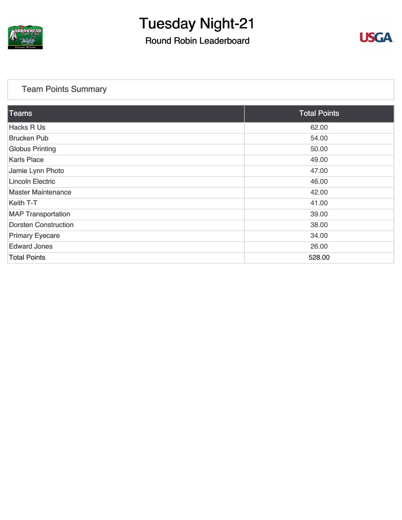

Round Robin Leaderboard



#### [Team Points Summary](https://cdn2.golfgenius.com/v2tournaments/team_points?league_id=7166783568088147134&round_id=7166787266860295656)

| Teams                       | <b>Total Points</b> |
|-----------------------------|---------------------|
| <b>Hacks R Us</b>           | 62.00               |
| <b>Brucken Pub</b>          | 54.00               |
| <b>Globus Printing</b>      | 50.00               |
| <b>Karls Place</b>          | 49.00               |
| Jamie Lynn Photo            | 47.00               |
| <b>Lincoln Electric</b>     | 46.00               |
| <b>Master Maintenance</b>   | 42.00               |
| Keith T-T                   | 41.00               |
| <b>MAP Transportation</b>   | 39.00               |
| <b>Dorsten Construction</b> | 38.00               |
| <b>Primary Eyecare</b>      | 34.00               |
| <b>Edward Jones</b>         | 26.00               |
| <b>Total Points</b>         | 528.00              |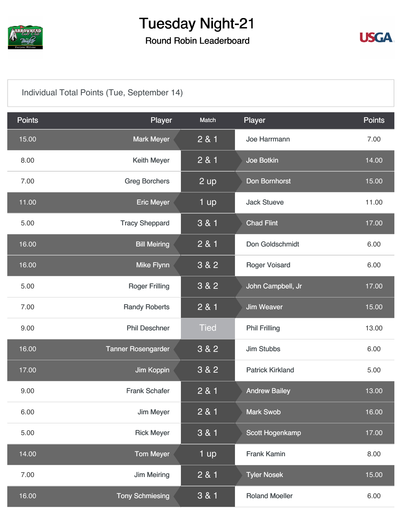

### Round Robin Leaderboard



#### [Individual Total Points \(Tue, September 14\)](https://cdn2.golfgenius.com/v2tournaments/7291239193617900921?called_from=&round_index=24)

| <b>Points</b> | Player                    | Match             | Player                  | <b>Points</b> |
|---------------|---------------------------|-------------------|-------------------------|---------------|
| 15.00         | <b>Mark Meyer</b>         | 2 & 1             | Joe Harrmann            | 7.00          |
| 8.00          | <b>Keith Meyer</b>        | 2 & 1             | <b>Joe Botkin</b>       | 14.00         |
| 7.00          | <b>Greg Borchers</b>      | $2 \overline{up}$ | Don Bornhorst           | 15.00         |
| 11.00         | <b>Eric Meyer</b>         | 1 up              | <b>Jack Stueve</b>      | 11.00         |
| 5.00          | <b>Tracy Sheppard</b>     | 3 & 1             | <b>Chad Flint</b>       | 17.00         |
| 16.00         | <b>Bill Meiring</b>       | 2 & 1             | Don Goldschmidt         | 6.00          |
| 16.00         | <b>Mike Flynn</b>         | 3 & 2             | <b>Roger Voisard</b>    | 6.00          |
| 5.00          | <b>Roger Frilling</b>     | 3 & 2             | John Campbell, Jr       | 17.00         |
| 7.00          | <b>Randy Roberts</b>      | 2 & 1             | <b>Jim Weaver</b>       | 15.00         |
| 9.00          | <b>Phil Deschner</b>      | Tied              | <b>Phil Frilling</b>    | 13.00         |
| 16.00         | <b>Tanner Rosengarder</b> | 3 & 2             | <b>Jim Stubbs</b>       | 6.00          |
| 17.00         | Jim Koppin                | 3 & 2             | <b>Patrick Kirkland</b> | 5.00          |
| 9.00          | <b>Frank Schafer</b>      | 2 & 1             | <b>Andrew Bailey</b>    | 13.00         |
| 6.00          | Jim Meyer                 | 2 & 1             | <b>Mark Swob</b>        | 16.00         |
| 5.00          | <b>Rick Meyer</b>         | 3 & 1             | Scott Hogenkamp         | 17.00         |
| 14.00         | <b>Tom Meyer</b>          | 1 up              | <b>Frank Kamin</b>      | 8.00          |
| 7.00          | <b>Jim Meiring</b>        | 2 & 1             | <b>Tyler Nosek</b>      | 15.00         |
| 16.00         | <b>Tony Schmiesing</b>    | 3 & 1             | <b>Roland Moeller</b>   | 6.00          |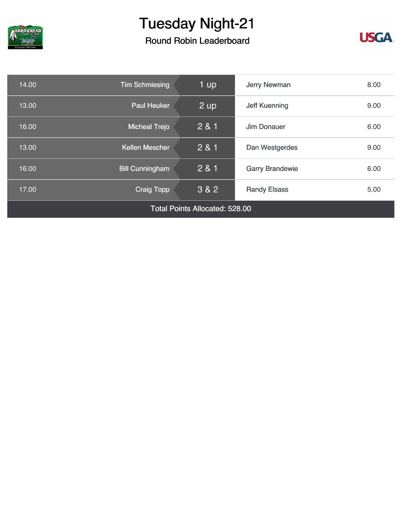

## Round Robin Leaderboard



| 14.00                                 | <b>Tim Schmiesing</b>  | 1 up  | <b>Jerry Newman</b>    | 8.00 |
|---------------------------------------|------------------------|-------|------------------------|------|
| 13.00                                 | <b>Paul Heuker</b>     | 2 up  | <b>Jeff Kuenning</b>   | 9.00 |
| 16.00                                 | <b>Micheal Trejo</b>   | 2 & 1 | Jim Donauer            | 6.00 |
| 13.00                                 | <b>Kellen Mescher</b>  | 281   | Dan Westgerdes         | 9.00 |
| 16.00                                 | <b>Bill Cunningham</b> | 2 & 1 | <b>Garry Brandewie</b> | 6.00 |
| 17.00                                 | <b>Craig Topp</b>      | 3 & 2 | <b>Randy Elsass</b>    | 5.00 |
| <b>Total Points Allocated: 528.00</b> |                        |       |                        |      |